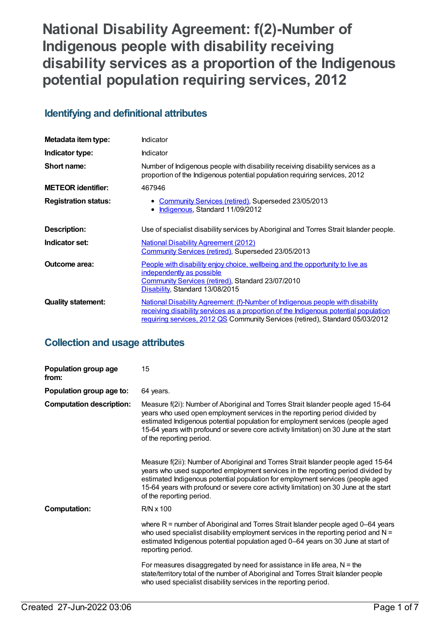# **National Disability Agreement: f(2)-Number of Indigenous people with disability receiving disability services as a proportion of the Indigenous potential population requiring services, 2012**

## **Identifying and definitional attributes**

| Metadata item type:         | Indicator                                                                                                                                                                                                                                               |
|-----------------------------|---------------------------------------------------------------------------------------------------------------------------------------------------------------------------------------------------------------------------------------------------------|
| Indicator type:             | Indicator                                                                                                                                                                                                                                               |
| Short name:                 | Number of Indigenous people with disability receiving disability services as a<br>proportion of the Indigenous potential population requiring services, 2012                                                                                            |
| <b>METEOR identifier:</b>   | 467946                                                                                                                                                                                                                                                  |
| <b>Registration status:</b> | Community Services (retired), Superseded 23/05/2013<br>• Indigenous, Standard 11/09/2012                                                                                                                                                                |
| Description:                | Use of specialist disability services by Aboriginal and Torres Strait Islander people.                                                                                                                                                                  |
| Indicator set:              | <b>National Disability Agreement (2012)</b><br>Community Services (retired), Superseded 23/05/2013                                                                                                                                                      |
| <b>Outcome area:</b>        | People with disability enjoy choice, wellbeing and the opportunity to live as<br>independently as possible<br>Community Services (retired), Standard 23/07/2010<br>Disability, Standard 13/08/2015                                                      |
| <b>Quality statement:</b>   | National Disability Agreement: (f)-Number of Indigenous people with disability<br>receiving disability services as a proportion of the Indigenous potential population<br>requiring services, 2012 QS Community Services (retired), Standard 05/03/2012 |

## **Collection and usage attributes**

| Population group age<br>from:   | 15                                                                                                                                                                                                                                                                                                                                                                          |
|---------------------------------|-----------------------------------------------------------------------------------------------------------------------------------------------------------------------------------------------------------------------------------------------------------------------------------------------------------------------------------------------------------------------------|
| Population group age to:        | 64 years.                                                                                                                                                                                                                                                                                                                                                                   |
| <b>Computation description:</b> | Measure f(2i): Number of Aboriginal and Torres Strait Islander people aged 15-64<br>years who used open employment services in the reporting period divided by<br>estimated Indigenous potential population for employment services (people aged<br>15-64 years with profound or severe core activity limitation) on 30 June at the start<br>of the reporting period.       |
|                                 | Measure f(2ii): Number of Aboriginal and Torres Strait Islander people aged 15-64<br>years who used supported employment services in the reporting period divided by<br>estimated Indigenous potential population for employment services (people aged<br>15-64 years with profound or severe core activity limitation) on 30 June at the start<br>of the reporting period. |
| <b>Computation:</b>             | $R/N \times 100$                                                                                                                                                                                                                                                                                                                                                            |
|                                 | where $R =$ number of Aboriginal and Torres Strait Islander people aged 0–64 years<br>who used specialist disability employment services in the reporting period and $N =$<br>estimated Indigenous potential population aged 0-64 years on 30 June at start of<br>reporting period.                                                                                         |
|                                 | For measures disaggregated by need for assistance in life area, $N =$ the<br>state/territory total of the number of Aboriginal and Torres Strait Islander people<br>who used specialist disability services in the reporting period.                                                                                                                                        |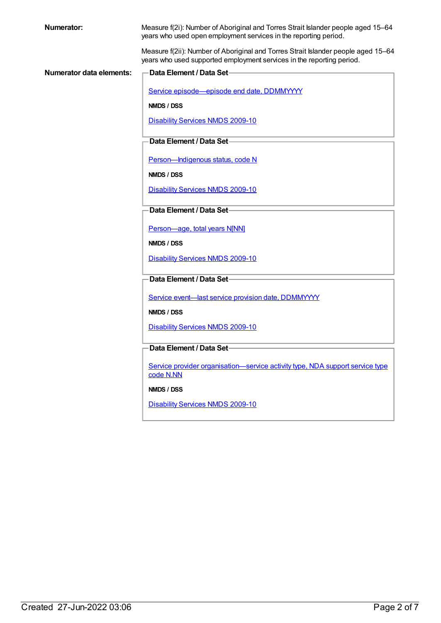| <b>Numerator:</b>        | Measure f(2i): Number of Aboriginal and Torres Strait Islander people aged 15-64<br>years who used open employment services in the reporting period.       |
|--------------------------|------------------------------------------------------------------------------------------------------------------------------------------------------------|
|                          | Measure f(2ii): Number of Aboriginal and Torres Strait Islander people aged 15-64<br>years who used supported employment services in the reporting period. |
| Numerator data elements: | Data Element / Data Set-                                                                                                                                   |
|                          | Service episode-episode end date, DDMMYYYY                                                                                                                 |
|                          | NMDS / DSS                                                                                                                                                 |
|                          | <b>Disability Services NMDS 2009-10</b>                                                                                                                    |
|                          | Data Element / Data Set-                                                                                                                                   |
|                          | Person-Indigenous status, code N                                                                                                                           |
|                          | NMDS / DSS                                                                                                                                                 |
|                          | <b>Disability Services NMDS 2009-10</b>                                                                                                                    |
|                          | Data Element / Data Set-                                                                                                                                   |
|                          | Person-age, total years N[NN]                                                                                                                              |
|                          | NMDS / DSS                                                                                                                                                 |
|                          | <b>Disability Services NMDS 2009-10</b>                                                                                                                    |
|                          | Data Element / Data Set-                                                                                                                                   |
|                          | Service event-last service provision date, DDMMYYYY                                                                                                        |
|                          | NMDS / DSS                                                                                                                                                 |
|                          | <b>Disability Services NMDS 2009-10</b>                                                                                                                    |
|                          | Data Element / Data Set-                                                                                                                                   |
|                          |                                                                                                                                                            |
|                          | Service provider organisation-service activity type, NDA support service type<br>code N.NN                                                                 |
|                          | NMDS / DSS                                                                                                                                                 |
|                          | <b>Disability Services NMDS 2009-10</b>                                                                                                                    |
|                          |                                                                                                                                                            |
|                          |                                                                                                                                                            |
|                          |                                                                                                                                                            |
|                          |                                                                                                                                                            |
|                          |                                                                                                                                                            |
|                          |                                                                                                                                                            |
|                          |                                                                                                                                                            |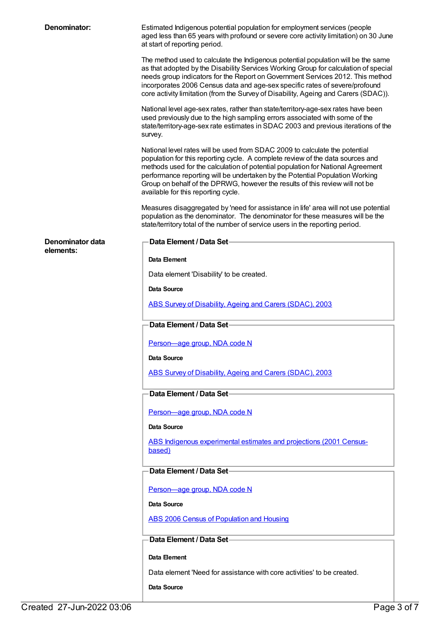| Denominator:     | Estimated Indigenous potential population for employment services (people<br>aged less than 65 years with profound or severe core activity limitation) on 30 June<br>at start of reporting period.                                                                                                                                                                                                                                                      |
|------------------|---------------------------------------------------------------------------------------------------------------------------------------------------------------------------------------------------------------------------------------------------------------------------------------------------------------------------------------------------------------------------------------------------------------------------------------------------------|
|                  | The method used to calculate the Indigenous potential population will be the same<br>as that adopted by the Disability Services Working Group for calculation of special<br>needs group indicators for the Report on Government Services 2012. This method<br>incorporates 2006 Census data and age-sex specific rates of severe/profound<br>core activity limitation (from the Survey of Disability, Ageing and Carers (SDAC)).                        |
|                  | National level age-sex rates, rather than state/territory-age-sex rates have been<br>used previously due to the high sampling errors associated with some of the<br>state/territory-age-sex rate estimates in SDAC 2003 and previous iterations of the<br>survey.                                                                                                                                                                                       |
|                  | National level rates will be used from SDAC 2009 to calculate the potential<br>population for this reporting cycle. A complete review of the data sources and<br>methods used for the calculation of potential population for National Agreement<br>performance reporting will be undertaken by the Potential Population Working<br>Group on behalf of the DPRWG, however the results of this review will not be<br>available for this reporting cycle. |
|                  | Measures disaggregated by 'need for assistance in life' area will not use potential<br>population as the denominator. The denominator for these measures will be the<br>state/territory total of the number of service users in the reporting period.                                                                                                                                                                                                   |
| Denominator data | Data Element / Data Set-                                                                                                                                                                                                                                                                                                                                                                                                                                |
| elements:        | Data Element                                                                                                                                                                                                                                                                                                                                                                                                                                            |
|                  | Data element 'Disability' to be created.                                                                                                                                                                                                                                                                                                                                                                                                                |
|                  | Data Source                                                                                                                                                                                                                                                                                                                                                                                                                                             |
|                  | ABS Survey of Disability, Ageing and Carers (SDAC), 2003                                                                                                                                                                                                                                                                                                                                                                                                |
|                  | Data Element / Data Set-                                                                                                                                                                                                                                                                                                                                                                                                                                |
|                  | Person-age group, NDA code N                                                                                                                                                                                                                                                                                                                                                                                                                            |
|                  | Data Source                                                                                                                                                                                                                                                                                                                                                                                                                                             |
|                  | ABS Survey of Disability, Ageing and Carers (SDAC), 2003                                                                                                                                                                                                                                                                                                                                                                                                |
|                  |                                                                                                                                                                                                                                                                                                                                                                                                                                                         |
|                  | Data Element / Data Set-                                                                                                                                                                                                                                                                                                                                                                                                                                |
|                  | Person-age group, NDA code N                                                                                                                                                                                                                                                                                                                                                                                                                            |
|                  | Data Source                                                                                                                                                                                                                                                                                                                                                                                                                                             |
|                  | ABS Indigenous experimental estimates and projections (2001 Census-<br>based)                                                                                                                                                                                                                                                                                                                                                                           |
|                  | Data Element / Data Set-                                                                                                                                                                                                                                                                                                                                                                                                                                |
|                  | Person-age group, NDA code N                                                                                                                                                                                                                                                                                                                                                                                                                            |
|                  | Data Source                                                                                                                                                                                                                                                                                                                                                                                                                                             |
|                  | <b>ABS 2006 Census of Population and Housing</b>                                                                                                                                                                                                                                                                                                                                                                                                        |
|                  | Data Element / Data Set-                                                                                                                                                                                                                                                                                                                                                                                                                                |
|                  | Data Element                                                                                                                                                                                                                                                                                                                                                                                                                                            |
|                  | Data element 'Need for assistance with core activities' to be created.                                                                                                                                                                                                                                                                                                                                                                                  |
|                  | Data Source                                                                                                                                                                                                                                                                                                                                                                                                                                             |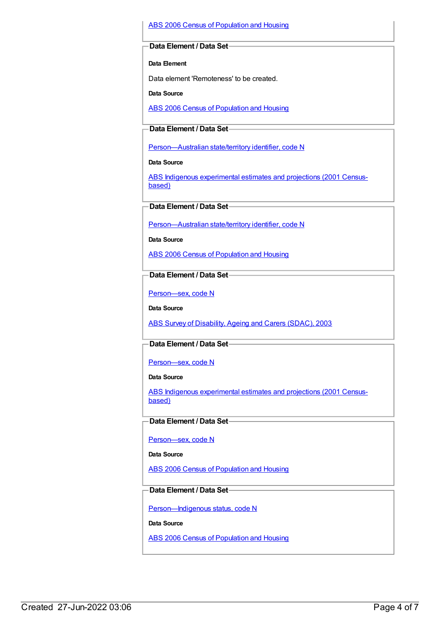#### ABS 2006 Census of [Population](https://meteor.aihw.gov.au/content/394447) and Housing

#### **Data Element / Data Set**

**Data Element**

Data element 'Remoteness' to be created.

**Data Source**

ABS 2006 Census of [Population](https://meteor.aihw.gov.au/content/394447) and Housing

#### **Data Element / Data Set**

[Person—Australian](https://meteor.aihw.gov.au/content/286919) state/territory identifier, code N

**Data Source**

ABS Indigenous [experimental](https://meteor.aihw.gov.au/content/394092) estimates and projections (2001 Censusbased)

**Data Element / Data Set**

[Person—Australian](https://meteor.aihw.gov.au/content/286919) state/territory identifier, code N

**Data Source**

ABS 2006 Census of [Population](https://meteor.aihw.gov.au/content/394447) and Housing

#### **Data Element / Data Set**

[Person—sex,](https://meteor.aihw.gov.au/content/287316) code N

**Data Source**

ABS Survey of [Disability,](https://meteor.aihw.gov.au/content/393819) Ageing and Carers (SDAC), 2003

#### **Data Element / Data Set**

[Person—sex,](https://meteor.aihw.gov.au/content/287316) code N

**Data Source**

ABS Indigenous [experimental](https://meteor.aihw.gov.au/content/394092) estimates and projections (2001 Censusbased)

#### **Data Element / Data Set**

[Person—sex,](https://meteor.aihw.gov.au/content/287316) code N

**Data Source**

ABS 2006 Census of [Population](https://meteor.aihw.gov.au/content/394447) and Housing

#### **Data Element / Data Set**

[Person—Indigenous](https://meteor.aihw.gov.au/content/291036) status, code N

**Data Source**

ABS 2006 Census of [Population](https://meteor.aihw.gov.au/content/394447) and Housing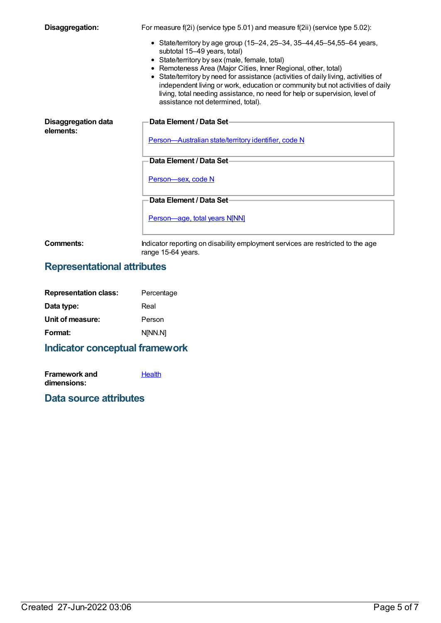| Disaggregation:                         | For measure $f(2i)$ (service type 5.01) and measure $f(2ii)$ (service type 5.02):                                                                                                                                                                                                                                                                                                                                                                                                                                          |
|-----------------------------------------|----------------------------------------------------------------------------------------------------------------------------------------------------------------------------------------------------------------------------------------------------------------------------------------------------------------------------------------------------------------------------------------------------------------------------------------------------------------------------------------------------------------------------|
|                                         | • State/territory by age group (15–24, 25–34, 35–44, 45–54, 55–64 years,<br>subtotal 15-49 years, total)<br>• State/territory by sex (male, female, total)<br>• Remoteness Area (Major Cities, Inner Regional, other, total)<br>• State/territory by need for assistance (activities of daily living, activities of<br>independent living or work, education or community but not activities of daily<br>living, total needing assistance, no need for help or supervision, level of<br>assistance not determined, total). |
| <b>Disaggregation data</b><br>elements: | Data Element / Data Set-<br>Person-Australian state/territory identifier, code N                                                                                                                                                                                                                                                                                                                                                                                                                                           |
|                                         | Data Element / Data Set-                                                                                                                                                                                                                                                                                                                                                                                                                                                                                                   |
|                                         |                                                                                                                                                                                                                                                                                                                                                                                                                                                                                                                            |
|                                         | Person-sex, code N                                                                                                                                                                                                                                                                                                                                                                                                                                                                                                         |
|                                         | Data Element / Data Set-                                                                                                                                                                                                                                                                                                                                                                                                                                                                                                   |
|                                         | Person-age, total years N[NN]                                                                                                                                                                                                                                                                                                                                                                                                                                                                                              |
| Comments:                               | Indicator reporting on disability employment services are restricted to the age<br>range 15-64 years.                                                                                                                                                                                                                                                                                                                                                                                                                      |

## **Representational attributes**

| Percentage |
|------------|
| Real       |
| Person     |
| NINN.NI    |
|            |

## **Indicator conceptual framework**

**Framework and dimensions: [Health](https://meteor.aihw.gov.au/content/392701)** 

## **Data source attributes**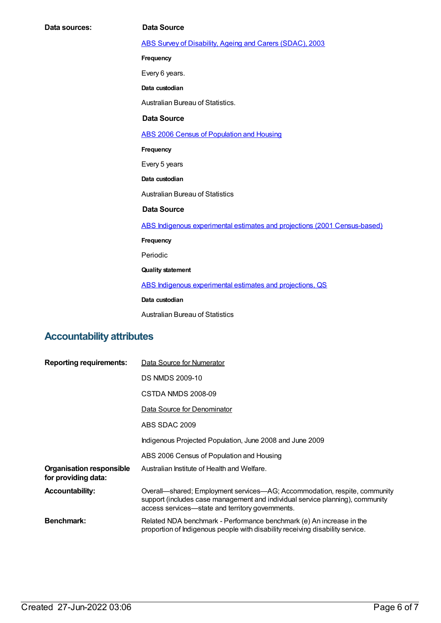**Data sources: Data Source** ABS Survey of [Disability,](https://meteor.aihw.gov.au/content/393819) Ageing and Carers (SDAC), 2003 **Frequency** Every 6 years. **Data custodian** Australian Bureau of Statistics. **Data Source** ABS 2006 Census of [Population](https://meteor.aihw.gov.au/content/394447) and Housing **Frequency** Every 5 years **Data custodian** Australian Bureau of Statistics **Data Source** ABS Indigenous experimental estimates and projections (2001 [Census-based\)](https://meteor.aihw.gov.au/content/394092) **Frequency** Periodic **Quality statement** ABS Indigenous [experimental](https://meteor.aihw.gov.au/content/449223) estimates and projections, QS

#### **Data custodian**

Australian Bureau of Statistics

### **Accountability attributes**

| <b>Reporting requirements:</b>                         | Data Source for Numerator                                                                                                                                                                                      |
|--------------------------------------------------------|----------------------------------------------------------------------------------------------------------------------------------------------------------------------------------------------------------------|
|                                                        | <b>DS NMDS 2009-10</b>                                                                                                                                                                                         |
|                                                        | CSTDA NMDS 2008-09                                                                                                                                                                                             |
|                                                        | Data Source for Denominator                                                                                                                                                                                    |
|                                                        | ABS SDAC 2009                                                                                                                                                                                                  |
|                                                        | Indigenous Projected Population, June 2008 and June 2009                                                                                                                                                       |
|                                                        | ABS 2006 Census of Population and Housing                                                                                                                                                                      |
| <b>Organisation responsible</b><br>for providing data: | Australian Institute of Health and Welfare.                                                                                                                                                                    |
| <b>Accountability:</b>                                 | Overall-shared; Employment services-AG; Accommodation, respite, community<br>support (includes case management and individual service planning), community<br>access services—state and territory governments. |
| <b>Benchmark:</b>                                      | Related NDA benchmark - Performance benchmark (e) An increase in the<br>proportion of Indigenous people with disability receiving disability service.                                                          |